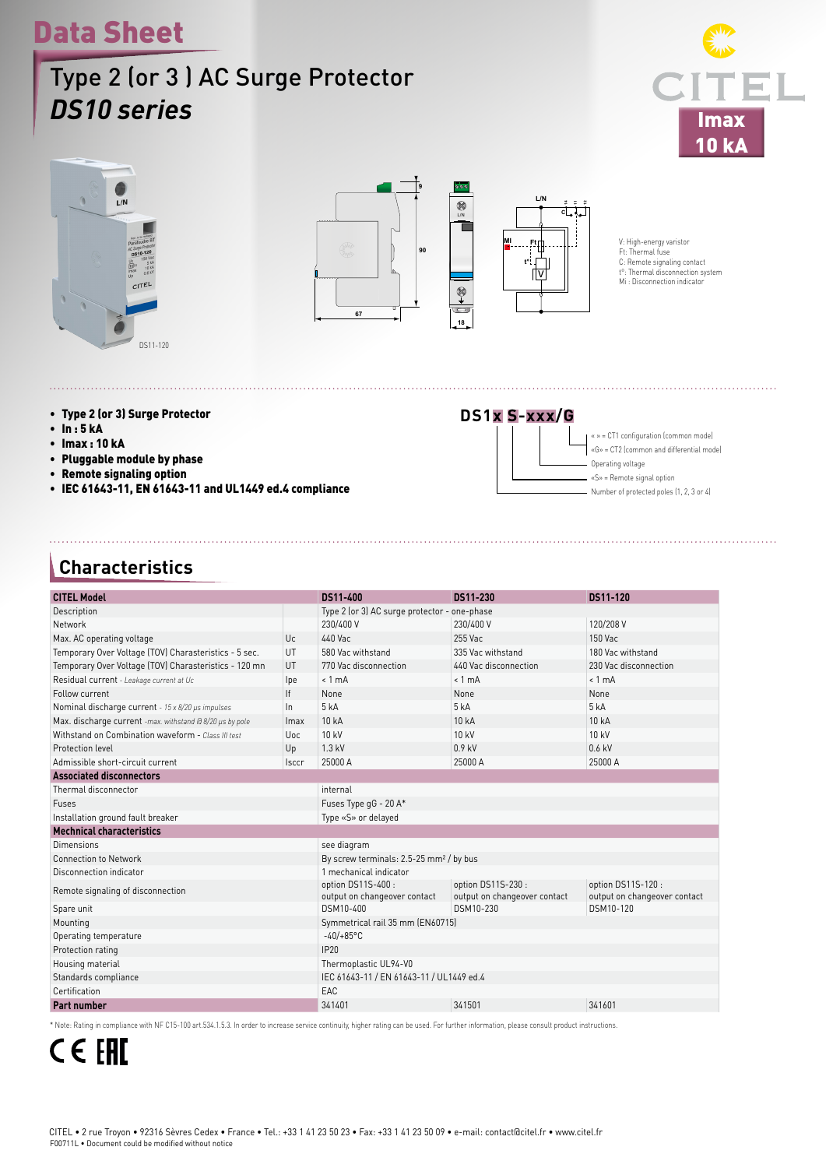# Data Sheet

### Type 2 (or 3 ) AC Surge Protector *DS10 series*







V: High-energy varistor<br>Ft: Thermal fuse<br>C: Remote signaling contact<br>t°: Thermal disconnection system<br>Mi : Disconnection indicator

- Type 2 (or 3) Surge Protector
- In : 5 kA
- Imax : 10 kA
- Pluggable module by phase
- Remote signaling option
- IEC 61643-11, EN 61643-11 and UL1449 ed.4 compliance

## **DS1x S-xxx/G**



#### **Characteristics**

| <b>CITEL Model</b>                                                                                            |                                                     | DS11-400                                  | DS11-230                                  | DS11-120              |  |  |  |
|---------------------------------------------------------------------------------------------------------------|-----------------------------------------------------|-------------------------------------------|-------------------------------------------|-----------------------|--|--|--|
| Description                                                                                                   | Type 2 (or 3) AC surge protector - one-phase        |                                           |                                           |                       |  |  |  |
| Network                                                                                                       |                                                     | 230/400 V<br>230/400 V<br>120/208 V       |                                           |                       |  |  |  |
| Max. AC operating voltage<br>Uc.                                                                              |                                                     | 440 Vac                                   | 255 Vac                                   | $150$ Vac             |  |  |  |
| Temporary Over Voltage (TOV) Charasteristics - 5 sec.<br>UT                                                   |                                                     | 580 Vac withstand                         | 335 Vac withstand                         | 180 Vac withstand     |  |  |  |
| Temporary Over Voltage (TOV) Charasteristics - 120 mn<br>UT                                                   |                                                     | 770 Vac disconnection                     | 440 Vac disconnection                     | 230 Vac disconnection |  |  |  |
|                                                                                                               |                                                     | $< 1$ mA                                  | $< 1$ m $\Delta$                          | $< 1$ mA              |  |  |  |
| Residual current - Leakage current at Uc<br>Follow current                                                    |                                                     | None                                      | None                                      | None                  |  |  |  |
|                                                                                                               | If<br>$\ln$                                         | 5 kA                                      | 5 kA                                      | 5 kA                  |  |  |  |
| Nominal discharge current - 15 x 8/20 µs impulses<br>Max. discharge current -max. withstand @ 8/20 us by pole |                                                     | 10 kA                                     | 10 kA                                     | 10 kA                 |  |  |  |
| Withstand on Combination waveform - Class III test                                                            | <i>Imax</i><br><b>Uoc</b>                           | 10 kV                                     | 10 kV                                     | 10 kV                 |  |  |  |
| Protection level                                                                                              |                                                     | $1.3$ kV                                  | $0.9$ kV                                  |                       |  |  |  |
| Admissible short-circuit current                                                                              | Up<br><b>Isccr</b>                                  | 25000 A                                   | 25000 A                                   | $0.6$ kV              |  |  |  |
|                                                                                                               |                                                     |                                           | 25000 A                                   |                       |  |  |  |
| <b>Associated disconnectors</b>                                                                               |                                                     |                                           |                                           |                       |  |  |  |
| Thermal disconnector                                                                                          | internal                                            |                                           |                                           |                       |  |  |  |
| Fuses                                                                                                         | Fuses Type gG - 20 A*                               |                                           |                                           |                       |  |  |  |
| Installation ground fault breaker                                                                             |                                                     | Type «S» or delayed                       |                                           |                       |  |  |  |
| <b>Mechnical characteristics</b>                                                                              |                                                     |                                           |                                           |                       |  |  |  |
| Dimensions                                                                                                    | see diagram                                         |                                           |                                           |                       |  |  |  |
| <b>Connection to Network</b>                                                                                  | By screw terminals: 2.5-25 mm <sup>2</sup> / by bus |                                           |                                           |                       |  |  |  |
| Disconnection indicator                                                                                       | 1 mechanical indicator                              |                                           |                                           |                       |  |  |  |
| Remote signaling of disconnection                                                                             | option DS11S-400:                                   | option DS11S-230:                         | option DS11S-120:                         |                       |  |  |  |
|                                                                                                               | output on changeover contact<br>DSM10-400           | output on changeover contact<br>DSM10-230 | output on changeover contact<br>DSM10-120 |                       |  |  |  |
| Spare unit                                                                                                    |                                                     |                                           |                                           |                       |  |  |  |
| Mounting                                                                                                      | Symmetrical rail 35 mm (EN60715)                    |                                           |                                           |                       |  |  |  |
| Operating temperature                                                                                         | $-40/+85$ °C                                        |                                           |                                           |                       |  |  |  |
| Protection rating                                                                                             | IP20                                                |                                           |                                           |                       |  |  |  |
| Housing material                                                                                              | Thermoplastic UL94-V0                               |                                           |                                           |                       |  |  |  |
| Standards compliance                                                                                          | IEC 61643-11 / EN 61643-11 / UL1449 ed.4            |                                           |                                           |                       |  |  |  |
| Certification                                                                                                 | EAC                                                 |                                           |                                           |                       |  |  |  |
| Part number                                                                                                   | 341401                                              | 341501                                    | 341601                                    |                       |  |  |  |

\* Note: Rating in compliance with NF C15-100 art.534.1.5.3. In order to increase service continuity, higher rating can be used. For further information, please consult product instructions.